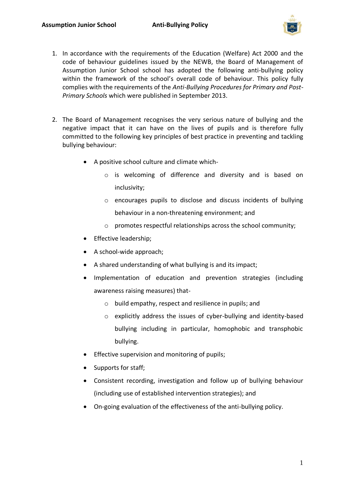

- 1. In accordance with the requirements of the Education (Welfare) Act 2000 and the code of behaviour guidelines issued by the NEWB, the Board of Management of Assumption Junior School school has adopted the following anti-bullying policy within the framework of the school's overall code of behaviour. This policy fully complies with the requirements of the *Anti-Bullying Procedures for Primary and Post-Primary Schools* which were published in September 2013.
- 2. The Board of Management recognises the very serious nature of bullying and the negative impact that it can have on the lives of pupils and is therefore fully committed to the following key principles of best practice in preventing and tackling bullying behaviour:
	- A positive school culture and climate which
		- o is welcoming of difference and diversity and is based on inclusivity;
		- o encourages pupils to disclose and discuss incidents of bullying behaviour in a non-threatening environment; and
		- o promotes respectful relationships across the school community;
	- Effective leadership;
	- A school-wide approach;
	- A shared understanding of what bullying is and its impact;
	- Implementation of education and prevention strategies (including awareness raising measures) that
		- o build empathy, respect and resilience in pupils; and
		- o explicitly address the issues of cyber-bullying and identity-based bullying including in particular, homophobic and transphobic bullying.
	- Effective supervision and monitoring of pupils;
	- Supports for staff;
	- Consistent recording, investigation and follow up of bullying behaviour (including use of established intervention strategies); and
	- On-going evaluation of the effectiveness of the anti-bullying policy.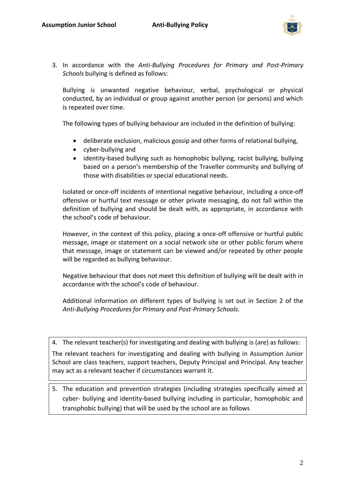

3. In accordance with the *Anti-Bullying Procedures for Primary and Post-Primary Schools* bullying is defined as follows:

Bullying is unwanted negative behaviour, verbal, psychological or physical conducted, by an individual or group against another person (or persons) and which is repeated over time.

The following types of bullying behaviour are included in the definition of bullying:

- deliberate exclusion, malicious gossip and other forms of relational bullying,
- cyber-bullying and
- identity-based bullying such as homophobic bullying, racist bullying, bullying based on a person's membership of the Traveller community and bullying of those with disabilities or special educational needs.

Isolated or once-off incidents of intentional negative behaviour, including a once-off offensive or hurtful text message or other private messaging, do not fall within the definition of bullying and should be dealt with, as appropriate, in accordance with the school's code of behaviour.

However, in the context of this policy, placing a once-off offensive or hurtful public message, image or statement on a social network site or other public forum where that message, image or statement can be viewed and/or repeated by other people will be regarded as bullying behaviour.

Negative behaviour that does not meet this definition of bullying will be dealt with in accordance with the school's code of behaviour.

Additional information on different types of bullying is set out in Section 2 of the *Anti-Bullying Procedures for Primary and Post-Primary Schools*.

4. The relevant teacher(s) for investigating and dealing with bullying is (are) as follows:

The relevant teachers for investigating and dealing with bullying in Assumption Junior School are class teachers, support teachers, Deputy Principal and Principal. Any teacher may act as a relevant teacher if circumstances warrant it.

5. The education and prevention strategies (including strategies specifically aimed at cyber- bullying and identity-based bullying including in particular, homophobic and transphobic bullying) that will be used by the school are as follows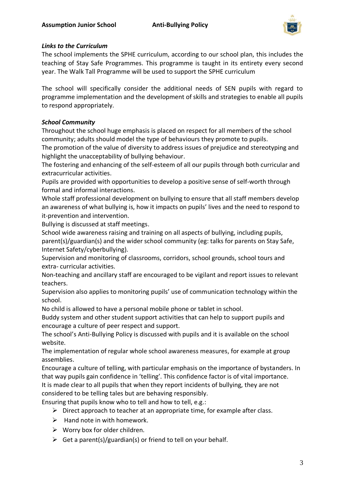

## *Links to the Curriculum*

The school implements the SPHE curriculum, according to our school plan, this includes the teaching of Stay Safe Programmes. This programme is taught in its entirety every second year. The Walk Tall Programme will be used to support the SPHE curriculum

The school will specifically consider the additional needs of SEN pupils with regard to programme implementation and the development of skills and strategies to enable all pupils to respond appropriately.

# *School Community*

Throughout the school huge emphasis is placed on respect for all members of the school community; adults should model the type of behaviours they promote to pupils.

The promotion of the value of diversity to address issues of prejudice and stereotyping and highlight the unacceptability of bullying behaviour.

The fostering and enhancing of the self-esteem of all our pupils through both curricular and extracurricular activities.

Pupils are provided with opportunities to develop a positive sense of self-worth through formal and informal interactions.

Whole staff professional development on bullying to ensure that all staff members develop an awareness of what bullying is, how it impacts on pupils' lives and the need to respond to it-prevention and intervention.

Bullying is discussed at staff meetings.

School wide awareness raising and training on all aspects of bullying, including pupils,

parent(s)/guardian(s) and the wider school community (eg: talks for parents on Stay Safe, Internet Safety/cyberbullying).

Supervision and monitoring of classrooms, corridors, school grounds, school tours and extra- curricular activities.

Non-teaching and ancillary staff are encouraged to be vigilant and report issues to relevant teachers.

Supervision also applies to monitoring pupils' use of communication technology within the school.

No child is allowed to have a personal mobile phone or tablet in school.

Buddy system and other student support activities that can help to support pupils and encourage a culture of peer respect and support.

The school's Anti-Bullying Policy is discussed with pupils and it is available on the school website.

The implementation of regular whole school awareness measures, for example at group assemblies.

Encourage a culture of telling, with particular emphasis on the importance of bystanders. In that way pupils gain confidence in 'telling'. This confidence factor is of vital importance. It is made clear to all pupils that when they report incidents of bullying, they are not considered to be telling tales but are behaving responsibly.

Ensuring that pupils know who to tell and how to tell, e.g.:

- $\triangleright$  Direct approach to teacher at an appropriate time, for example after class.
- $\triangleright$  Hand note in with homework.
- $\triangleright$  Worry box for older children.
- $\triangleright$  Get a parent(s)/guardian(s) or friend to tell on your behalf.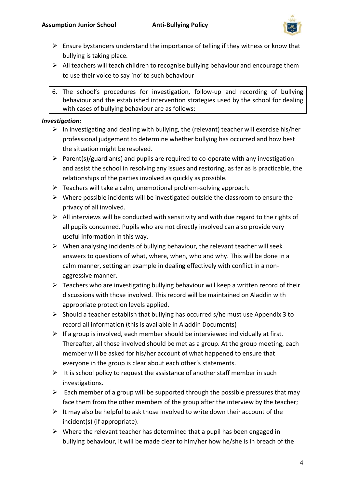

- $\triangleright$  Ensure bystanders understand the importance of telling if they witness or know that bullying is taking place.
- $\triangleright$  All teachers will teach children to recognise bullying behaviour and encourage them to use their voice to say 'no' to such behaviour
- 6. The school's procedures for investigation, follow-up and recording of bullying behaviour and the established intervention strategies used by the school for dealing with cases of bullying behaviour are as follows:

## *Investigation:*

- $\triangleright$  In investigating and dealing with bullying, the (relevant) teacher will exercise his/her professional judgement to determine whether bullying has occurred and how best the situation might be resolved.
- $\triangleright$  Parent(s)/guardian(s) and pupils are required to co-operate with any investigation and assist the school in resolving any issues and restoring, as far as is practicable, the relationships of the parties involved as quickly as possible.
- $\triangleright$  Teachers will take a calm, unemotional problem-solving approach.
- ➢ Where possible incidents will be investigated outside the classroom to ensure the privacy of all involved.
- $\triangleright$  All interviews will be conducted with sensitivity and with due regard to the rights of all pupils concerned. Pupils who are not directly involved can also provide very useful information in this way.
- $\triangleright$  When analysing incidents of bullying behaviour, the relevant teacher will seek answers to questions of what, where, when, who and why. This will be done in a calm manner, setting an example in dealing effectively with conflict in a nonaggressive manner.
- $\triangleright$  Teachers who are investigating bullying behaviour will keep a written record of their discussions with those involved. This record will be maintained on Aladdin with appropriate protection levels applied.
- $\triangleright$  Should a teacher establish that bullying has occurred s/he must use Appendix 3 to record all information (this is available in Aladdin Documents)
- $\triangleright$  If a group is involved, each member should be interviewed individually at first. Thereafter, all those involved should be met as a group. At the group meeting, each member will be asked for his/her account of what happened to ensure that everyone in the group is clear about each other's statements.
- $\triangleright$  It is school policy to request the assistance of another staff member in such investigations.
- $\triangleright$  Each member of a group will be supported through the possible pressures that may face them from the other members of the group after the interview by the teacher;
- $\triangleright$  It may also be helpful to ask those involved to write down their account of the incident(s) (if appropriate).
- $\triangleright$  Where the relevant teacher has determined that a pupil has been engaged in bullying behaviour, it will be made clear to him/her how he/she is in breach of the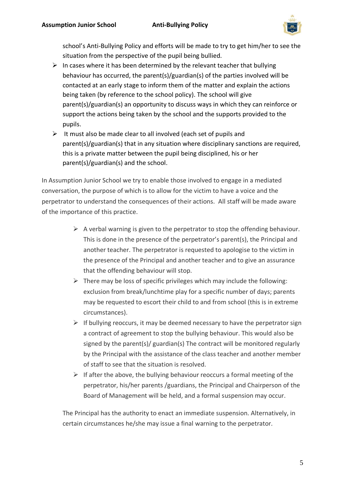

school's Anti-Bullying Policy and efforts will be made to try to get him/her to see the situation from the perspective of the pupil being bullied.

- $\triangleright$  In cases where it has been determined by the relevant teacher that bullying behaviour has occurred, the parent(s)/guardian(s) of the parties involved will be contacted at an early stage to inform them of the matter and explain the actions being taken (by reference to the school policy). The school will give parent(s)/guardian(s) an opportunity to discuss ways in which they can reinforce or support the actions being taken by the school and the supports provided to the pupils.
- $\triangleright$  It must also be made clear to all involved (each set of pupils and parent(s)/guardian(s) that in any situation where disciplinary sanctions are required, this is a private matter between the pupil being disciplined, his or her parent(s)/guardian(s) and the school.

In Assumption Junior School we try to enable those involved to engage in a mediated conversation, the purpose of which is to allow for the victim to have a voice and the perpetrator to understand the consequences of their actions. All staff will be made aware of the importance of this practice.

- $\triangleright$  A verbal warning is given to the perpetrator to stop the offending behaviour. This is done in the presence of the perpetrator's parent(s), the Principal and another teacher. The perpetrator is requested to apologise to the victim in the presence of the Principal and another teacher and to give an assurance that the offending behaviour will stop.
- $\triangleright$  There may be loss of specific privileges which may include the following: exclusion from break/lunchtime play for a specific number of days; parents may be requested to escort their child to and from school (this is in extreme circumstances).
- $\triangleright$  If bullying reoccurs, it may be deemed necessary to have the perpetrator sign a contract of agreement to stop the bullying behaviour. This would also be signed by the parent(s)/ guardian(s) The contract will be monitored regularly by the Principal with the assistance of the class teacher and another member of staff to see that the situation is resolved.
- $\triangleright$  If after the above, the bullying behaviour reoccurs a formal meeting of the perpetrator, his/her parents /guardians, the Principal and Chairperson of the Board of Management will be held, and a formal suspension may occur.

The Principal has the authority to enact an immediate suspension. Alternatively, in certain circumstances he/she may issue a final warning to the perpetrator.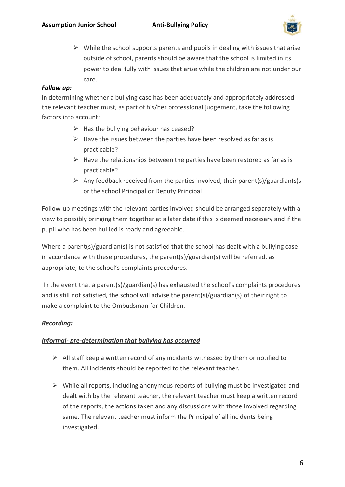

 $\triangleright$  While the school supports parents and pupils in dealing with issues that arise outside of school, parents should be aware that the school is limited in its power to deal fully with issues that arise while the children are not under our care.

# *Follow up:*

In determining whether a bullying case has been adequately and appropriately addressed the relevant teacher must, as part of his/her professional judgement, take the following factors into account:

- $\triangleright$  Has the bullying behaviour has ceased?
- $\triangleright$  Have the issues between the parties have been resolved as far as is practicable?
- $\triangleright$  Have the relationships between the parties have been restored as far as is practicable?
- $\triangleright$  Any feedback received from the parties involved, their parent(s)/guardian(s)s or the school Principal or Deputy Principal

Follow-up meetings with the relevant parties involved should be arranged separately with a view to possibly bringing them together at a later date if this is deemed necessary and if the pupil who has been bullied is ready and agreeable.

Where a parent(s)/guardian(s) is not satisfied that the school has dealt with a bullying case in accordance with these procedures, the parent(s)/guardian(s) will be referred, as appropriate, to the school's complaints procedures.

In the event that a parent(s)/guardian(s) has exhausted the school's complaints procedures and is still not satisfied, the school will advise the parent(s)/guardian(s) of their right to make a complaint to the Ombudsman for Children.

# *Recording:*

## *Informal- pre-determination that bullying has occurred*

- $\triangleright$  All staff keep a written record of any incidents witnessed by them or notified to them. All incidents should be reported to the relevant teacher.
- ➢ While all reports, including anonymous reports of bullying must be investigated and dealt with by the relevant teacher, the relevant teacher must keep a written record of the reports, the actions taken and any discussions with those involved regarding same. The relevant teacher must inform the Principal of all incidents being investigated.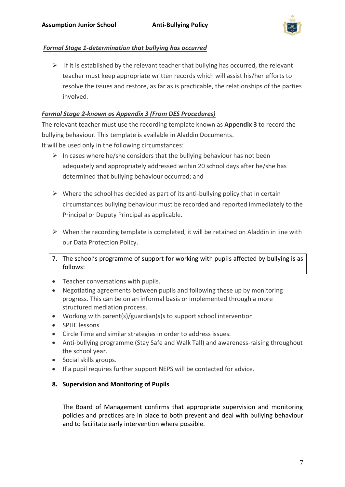

### *Formal Stage 1-determination that bullying has occurred*

 $\triangleright$  If it is established by the relevant teacher that bullying has occurred, the relevant teacher must keep appropriate written records which will assist his/her efforts to resolve the issues and restore, as far as is practicable, the relationships of the parties involved.

## *Formal Stage 2-known as Appendix 3 (From DES Procedures)*

The relevant teacher must use the recording template known as **Appendix 3** to record the bullying behaviour. This template is available in Aladdin Documents. It will be used only in the following circumstances:

- $\triangleright$  In cases where he/she considers that the bullying behaviour has not been adequately and appropriately addressed within 20 school days after he/she has determined that bullying behaviour occurred; and
- $\triangleright$  Where the school has decided as part of its anti-bullying policy that in certain circumstances bullying behaviour must be recorded and reported immediately to the Principal or Deputy Principal as applicable.
- $\triangleright$  When the recording template is completed, it will be retained on Aladdin in line with our Data Protection Policy.
- 7. The school's programme of support for working with pupils affected by bullying is as follows:
- Teacher conversations with pupils.
- Negotiating agreements between pupils and following these up by monitoring progress. This can be on an informal basis or implemented through a more structured mediation process.
- Working with parent(s)/guardian(s)s to support school intervention
- SPHE lessons
- Circle Time and similar strategies in order to address issues.
- Anti-bullying programme (Stay Safe and Walk Tall) and awareness-raising throughout the school year.
- Social skills groups.
- If a pupil requires further support NEPS will be contacted for advice.
- **8. Supervision and Monitoring of Pupils**

The Board of Management confirms that appropriate supervision and monitoring policies and practices are in place to both prevent and deal with bullying behaviour and to facilitate early intervention where possible.